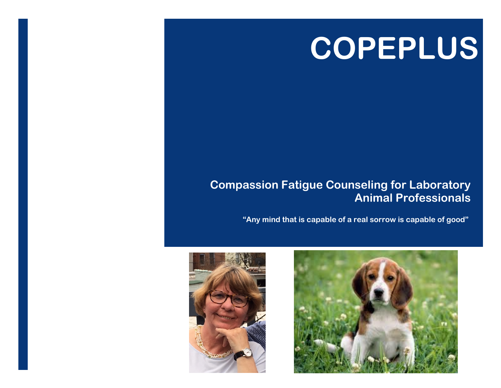# **COPEPLUS**

### **Compassion Fatigue Counseling for Laboratory Animal Professionals**

**"Any mind that is capable of a real sorrow is capable of good"**



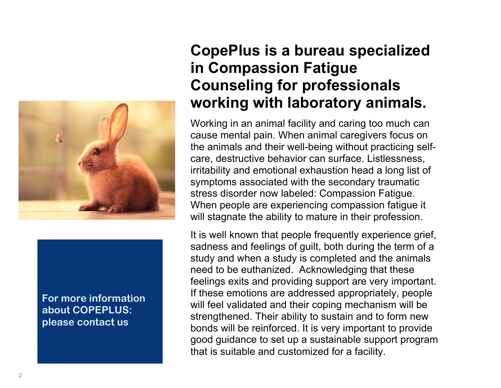

#### **For more information about COPEPLUS: please contact us**

## **CopePlus is a bureau specialized in Compassion Fatigue Counseling for professionals working with laboratory animals.**

Working in an animal facility and caring too much can cause mental pain. When animal caregivers focus on the animals and their well-being without practicing selfcare, destructive behavior can surface. Listlessness, irritability and emotional exhaustion head a long list of symptoms associated with the secondary traumatic stress disorder now labeled: Compassion Fatigue. When people are experiencing compassion fatigue it will stagnate the ability to mature in their profession.

It is well known that people frequently experience grief, sadness and feelings of guilt, both during the term of a study and when a study is completed and the animals need to be euthanized. Acknowledging that these feelings exits and providing support are very important. If these emotions are addressed appropriately, people will feel validated and their coping mechanism will be strengthened. Their ability to sustain and to form new bonds will be reinforced. It is very important to provide good guidance to set up a sustainable support program that is suitable and customized for a facility.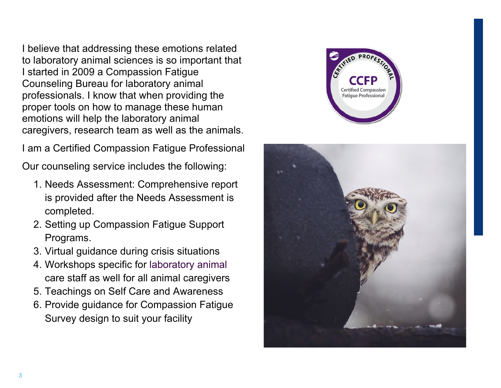I believe that addressing these emotions related to laboratory animal sciences is so important that I started in 2009 a Compassion Fatigue Counseling Bureau for laboratory animal professionals. I know that when providing the proper tools on how to manage these human emotions will help the laboratory animal caregivers, research team as well as the animals.

I am a Certified Compassion Fatigue Professional

Our counseling service includes the following:

- 1. Needs Assessment: Comprehensive report is provided after the Needs Assessment is completed.
- 2. Setting up Compassion Fatigue Support Programs.
- 3. Virtual guidance during crisis situations
- 4. Workshops specific for laboratory animal care staff as well for all animal caregivers
- 5. Teachings on Self Care and Awareness
- 6. Provide guidance for Compassion Fatigue Survey design to suit your facility



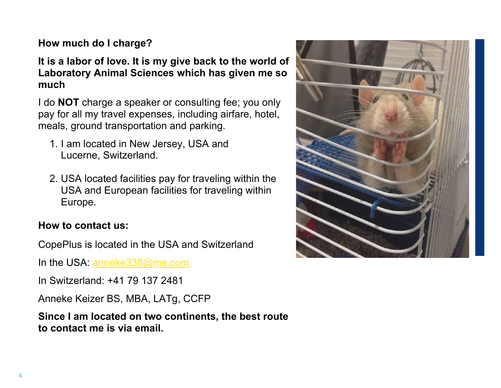#### **How much do I charge?**

#### **It is a labor of love. It is my give back to the world of Laboratory Animal Sciences which has given me so much**

I do **NOT** charge a speaker or consulting fee; you only pay for all my travel expenses, including airfare, hotel, meals, ground transportation and parking.

- 1. I am located in New Jersey, USA and Lucerne, Switzerland.
- 2. USA located facilities pay for traveling within the USA and European facilities for traveling within Europe.

#### **How to contact us:**

CopePlus is located in the USA and Switzerland

In the USA: anneke338@me.com

In Switzerland: +41 79 137 2481

Anneke Keizer BS, MBA, LATg, CCFP

**Since I am located on two continents, the best route to contact me is via email.**